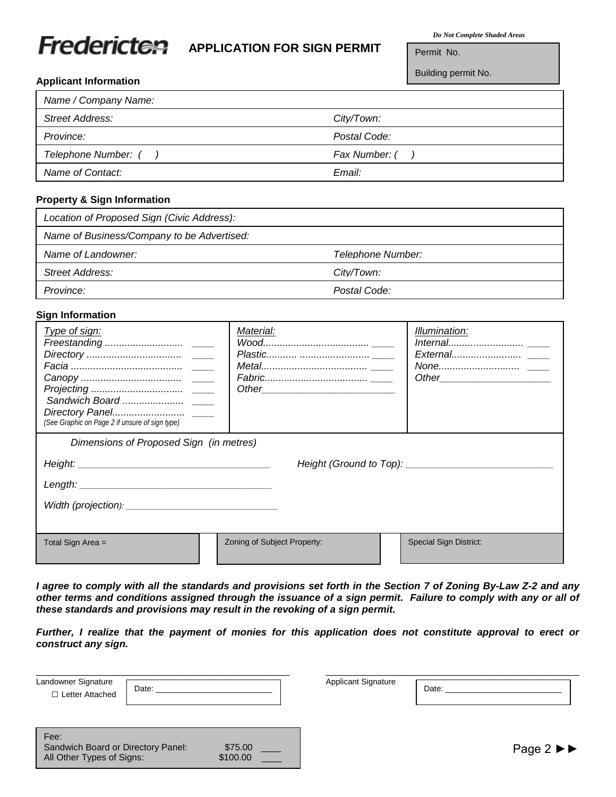# Fredericten

## **APPLICATION FOR SIGN PERMIT**

*Do Not Complete Shaded Areas*

Permit No.

Building permit No.

#### **Applicant Information**

| Name / Company Name: |               |
|----------------------|---------------|
| Street Address:      | City/Town:    |
| Province:            | Postal Code:  |
| Telephone Number: (  | Fax Number: ( |
| Name of Contact:     | Email:        |

#### **Property & Sign Information**

| Location of Proposed Sign (Civic Address): |                   |
|--------------------------------------------|-------------------|
| Name of Business/Company to be Advertised: |                   |
| Name of Landowner:                         | Telephone Number: |
| Street Address:                            | City/Town:        |
| Province:                                  | Postal Code:      |

#### **Sign Information**

| Type of sign:<br>(See Graphic on Page 2 if unsure of sign type) | Material:                   | Illumination:                 |  |  |  |
|-----------------------------------------------------------------|-----------------------------|-------------------------------|--|--|--|
| Dimensions of Proposed Sign (in metres)                         |                             |                               |  |  |  |
|                                                                 |                             |                               |  |  |  |
|                                                                 |                             |                               |  |  |  |
|                                                                 |                             |                               |  |  |  |
|                                                                 |                             |                               |  |  |  |
| Total Sign Area $=$                                             | Zoning of Subject Property: | <b>Special Sign District:</b> |  |  |  |

*I agree to comply with all the standards and provisions set forth in the Section 7 of Zoning By-Law Z-2 and any other terms and conditions assigned through the issuance of a sign permit. Failure to comply with any or all of these standards and provisions may result in the revoking of a sign permit.*

*Further, I realize that the payment of monies for this application does not constitute approval to erect or construct any sign.*

| Landowner Signature<br>Attached<br>_etter | Date: | <b>Applicant Signature</b> | <b>Date</b> |  |
|-------------------------------------------|-------|----------------------------|-------------|--|

| Date: |
|-------|
|       |

| Fee:                               |          |  |
|------------------------------------|----------|--|
| Sandwich Board or Directory Panel: | \$75.00  |  |
| All Other Types of Signs:          | \$100.00 |  |

Page 2 ►►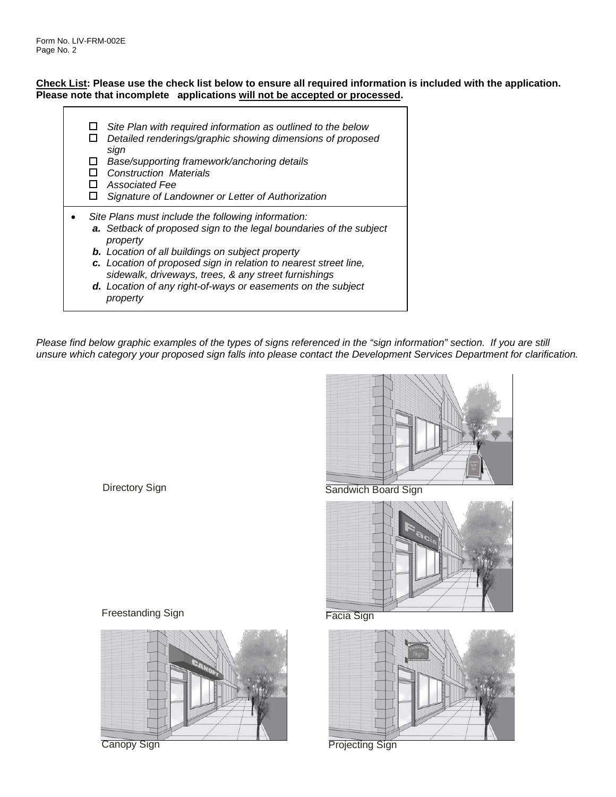#### **Check List: Please use the check list below to ensure all required information is included with the application. Please note that incomplete applications will not be accepted or processed.**

| Site Plan with required information as outlined to the below<br>Detailed renderings/graphic showing dimensions of proposed<br>sign<br>Base/supporting framework/anchoring details<br><b>Construction Materials</b><br>Associated Fee<br>Signature of Landowner or Letter of Authorization                                                                                                               |  |
|---------------------------------------------------------------------------------------------------------------------------------------------------------------------------------------------------------------------------------------------------------------------------------------------------------------------------------------------------------------------------------------------------------|--|
| Site Plans must include the following information:<br>a. Setback of proposed sign to the legal boundaries of the subject<br>property<br><b>b.</b> Location of all buildings on subject property<br>c. Location of proposed sign in relation to nearest street line,<br>sidewalk, driveways, trees, & any street furnishings<br>d. Location of any right-of-ways or easements on the subject<br>property |  |

*Please find below graphic examples of the types of signs referenced in the "sign information" section. If you are still unsure which category your proposed sign falls into please contact the Development Services Department for clarification.*



Directory Sign

Sandwich Board Sign



Freestanding Sign



Canopy Sign

Facia Sign



Projecting Sign